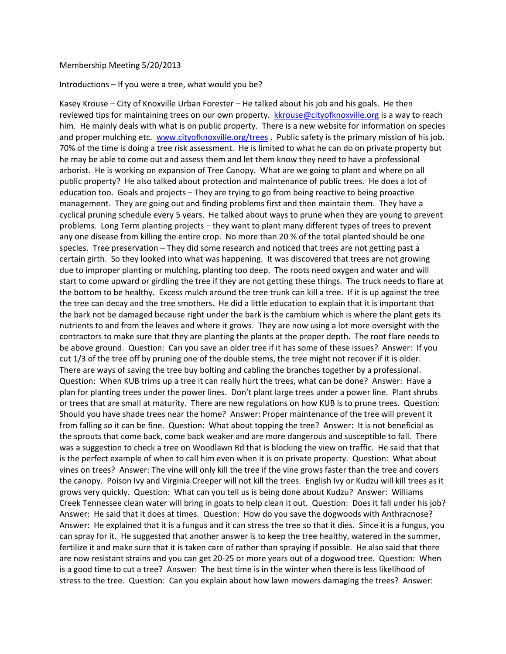## Membership Meeting 5/20/2013

## Introductions  $-$  If you were a tree, what would you be?

Kasey Krouse – City of Knoxville Urban Forester – He talked about his job and his goals. He then reviewed tips for maintaining trees on our own property. kkrouse@cityofknoxville.org is a way to reach him. He mainly deals with what is on public property. There is a new website for information on species and proper mulching etc. www.cityofknoxville.org/trees . Public safety is the primary mission of his job. 70% of the time is doing a tree risk assessment. He is limited to what he can do on private property but he may be able to come out and assess them and let them know they need to have a professional arborist. He is working on expansion of Tree Canopy. What are we going to plant and where on all public property? He also talked about protection and maintenance of public trees. He does a lot of education too. Goals and projects – They are trying to go from being reactive to being proactive management. They are going out and finding problems first and then maintain them. They have a cyclical pruning schedule every 5 years. He talked about ways to prune when they are young to prevent problems. Long Term planting projects – they want to plant many different types of trees to prevent any one disease from killing the entire crop. No more than 20 % of the total planted should be one species. Tree preservation – They did some research and noticed that trees are not getting past a certain girth. So they looked into what was happening. It was discovered that trees are not growing due to improper planting or mulching, planting too deep. The roots need oxygen and water and will start to come upward or girdling the tree if they are not getting these things. The truck needs to flare at the bottom to be healthy. Excess mulch around the tree trunk can kill a tree. If it is up against the tree the tree can decay and the tree smothers. He did a little education to explain that it is important that the bark not be damaged because right under the bark is the cambium which is where the plant gets its nutrients to and from the leaves and where it grows. They are now using a lot more oversight with the contractors to make sure that they are planting the plants at the proper depth. The root flare needs to be above ground. Question: Can you save an older tree if it has some of these issues? Answer: If you cut 1/3 of the tree off by pruning one of the double stems, the tree might not recover if it is older. There are ways of saving the tree buy bolting and cabling the branches together by a professional. Question: When KUB trims up a tree it can really hurt the trees, what can be done? Answer: Have a plan for planting trees under the power lines. Don't plant large trees under a power line. Plant shrubs or trees that are small at maturity. There are new regulations on how KUB is to prune trees. Question: Should you have shade trees near the home? Answer: Proper maintenance of the tree will prevent it from falling so it can be fine. Question: What about topping the tree? Answer: It is not beneficial as the sprouts that come back, come back weaker and are more dangerous and susceptible to fall. There was a suggestion to check a tree on Woodlawn Rd that is blocking the view on traffic. He said that that is the perfect example of when to call him even when it is on private property. Question: What about vines on trees? Answer: The vine will only kill the tree if the vine grows faster than the tree and covers the canopy. Poison Ivy and Virginia Creeper will not kill the trees. English Ivy or Kudzu will kill trees as it grows very quickly. Question: What can you tell us is being done about Kudzu? Answer: Williams Creek Tennessee clean water will bring in goats to help clean it out. Question: Does it fall under his job? Answer: He said that it does at times. Question: How do you save the dogwoods with Anthracnose? Answer: He explained that it is a fungus and it can stress the tree so that it dies. Since it is a fungus, you can spray for it. He suggested that another answer is to keep the tree healthy, watered in the summer, fertilize it and make sure that it is taken care of rather than spraying if possible. He also said that there are now resistant strains and you can get 20-25 or more years out of a dogwood tree. Question: When is a good time to cut a tree? Answer: The best time is in the winter when there is less likelihood of stress to the tree. Question: Can you explain about how lawn mowers damaging the trees? Answer: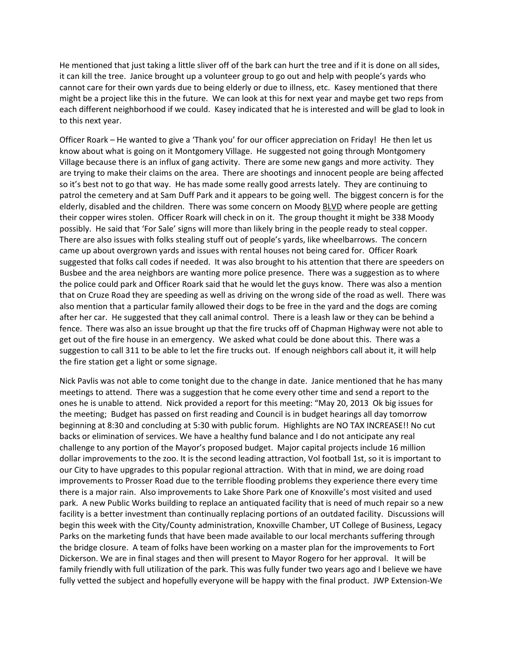He mentioned that just taking a little sliver off of the bark can hurt the tree and if it is done on all sides, it can kill the tree. Janice brought up a volunteer group to go out and help with people's yards who cannot care for their own yards due to being elderly or due to illness, etc. Kasey mentioned that there might be a project like this in the future. We can look at this for next year and maybe get two reps from each different neighborhood if we could. Kasey indicated that he is interested and will be glad to look in to this next year.

Officer Roark – He wanted to give a 'Thank you' for our officer appreciation on Friday! He then let us know about what is going on it Montgomery Village. He suggested not going through Montgomery Village because there is an influx of gang activity. There are some new gangs and more activity. They are trying to make their claims on the area. There are shootings and innocent people are being affected so it's best not to go that way. He has made some really good arrests lately. They are continuing to patrol the cemetery and at Sam Duff Park and it appears to be going well. The biggest concern is for the elderly, disabled and the children. There was some concern on Moody BLVD where people are getting their copper wires stolen. Officer Roark will check in on it. The group thought it might be 338 Moody possibly. He said that 'For Sale' signs will more than likely bring in the people ready to steal copper. There are also issues with folks stealing stuff out of people's yards, like wheelbarrows. The concern came up about overgrown yards and issues with rental houses not being cared for. Officer Roark suggested that folks call codes if needed. It was also brought to his attention that there are speeders on Busbee and the area neighbors are wanting more police presence. There was a suggestion as to where the police could park and Officer Roark said that he would let the guys know. There was also a mention that on Cruze Road they are speeding as well as driving on the wrong side of the road as well. There was also mention that a particular family allowed their dogs to be free in the yard and the dogs are coming after her car. He suggested that they call animal control. There is a leash law or they can be behind a fence. There was also an issue brought up that the fire trucks off of Chapman Highway were not able to get out of the fire house in an emergency. We asked what could be done about this. There was a suggestion to call 311 to be able to let the fire trucks out. If enough neighbors call about it, it will help the fire station get a light or some signage.

Nick Pavlis was not able to come tonight due to the change in date. Janice mentioned that he has many meetings to attend. There was a suggestion that he come every other time and send a report to the ones he is unable to attend. Nick provided a report for this meeting: "May 20, 2013 Ok big issues for the meeting; Budget has passed on first reading and Council is in budget hearings all day tomorrow beginning at 8:30 and concluding at 5:30 with public forum. Highlights are NO TAX INCREASE!! No cut backs or elimination of services. We have a healthy fund balance and I do not anticipate any real challenge to any portion of the Mayor's proposed budget. Major capital projects include 16 million dollar improvements to the zoo. It is the second leading attraction, Vol football 1st, so it is important to our City to have upgrades to this popular regional attraction. With that in mind, we are doing road improvements to Prosser Road due to the terrible flooding problems they experience there every time there is a major rain. Also improvements to Lake Shore Park one of Knoxville's most visited and used park. A new Public Works building to replace an antiquated facility that is need of much repair so a new facility is a better investment than continually replacing portions of an outdated facility. Discussions will begin this week with the City/County administration, Knoxville Chamber, UT College of Business, Legacy Parks on the marketing funds that have been made available to our local merchants suffering through the bridge closure. A team of folks have been working on a master plan for the improvements to Fort Dickerson. We are in final stages and then will present to Mayor Rogero for her approval. It will be family friendly with full utilization of the park. This was fully funder two years ago and I believe we have fully vetted the subject and hopefully everyone will be happy with the final product. JWP Extension-We